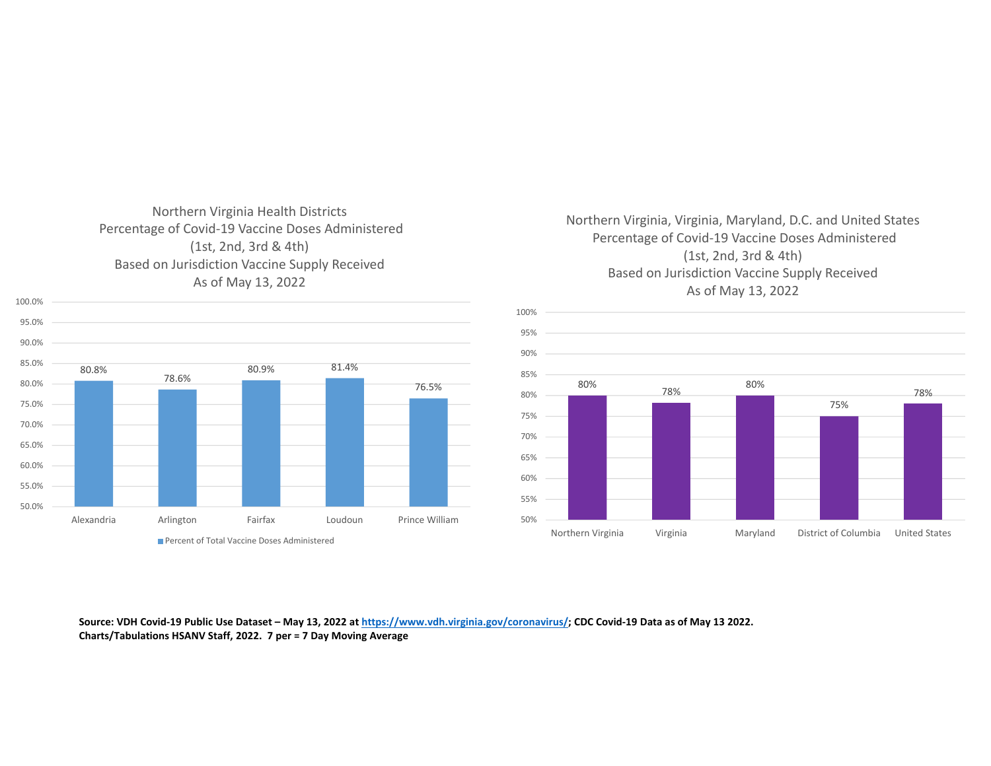# Northern Virginia Health Districts Percentage of Covid‐19 Vaccine Doses Administered (1st, 2nd, 3rd & 4th) Based on Jurisdiction Vaccine Supply Received As of May 13, 2022

100.0%

#### 80.8%78.6%80.9% 81.4% 76.5% 50.0%55.0%60.0% 65.0% 70.0%75.0%80.0%85.0%90.0%95.0%Alexandria Arlington Fairfax Loudoun Prince William Percent of Total Vaccine Doses Administered

## Northern Virginia, Virginia, Maryland, D.C. and United States Percentage of Covid‐19 Vaccine Doses Administered (1st, 2nd, 3rd & 4th) Based on Jurisdiction Vaccine Supply Received As of May 13, 2022



Source: VDH Covid-19 Public Use Dataset – May 13, 2022 at <u>https://www.vdh.virginia.gov/coronavirus/;</u> CDC Covid-19 Data as of May 13 2022. **Charts/Tabulations HSANV Staff, 2022. 7 per <sup>=</sup> 7 Day Moving Average**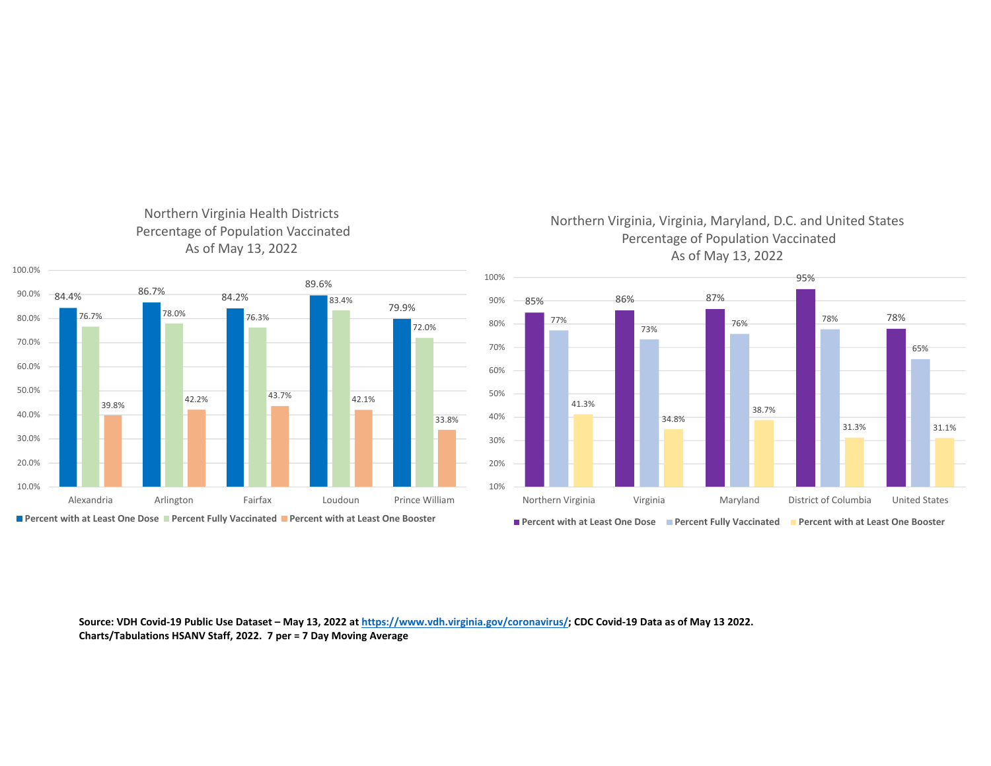#### Northern Virginia Health Districts Percentage of Population Vaccinated As of May 13, 2022



**Percent with at Least One Dose Percent Fully Vaccinated Percent with at Least One Booster**

## Northern Virginia, Virginia, Maryland, D.C. and United States Percentage of Population Vaccinated As of May 13, 2022



Source: VDH Covid-19 Public Use Dataset – May 13, 2022 at <u>https://www.vdh.virginia.gov/coronavirus/;</u> CDC Covid-19 Data as of May 13 2022. **Charts/Tabulations HSANV Staff, 2022. 7 per <sup>=</sup> 7 Day Moving Average**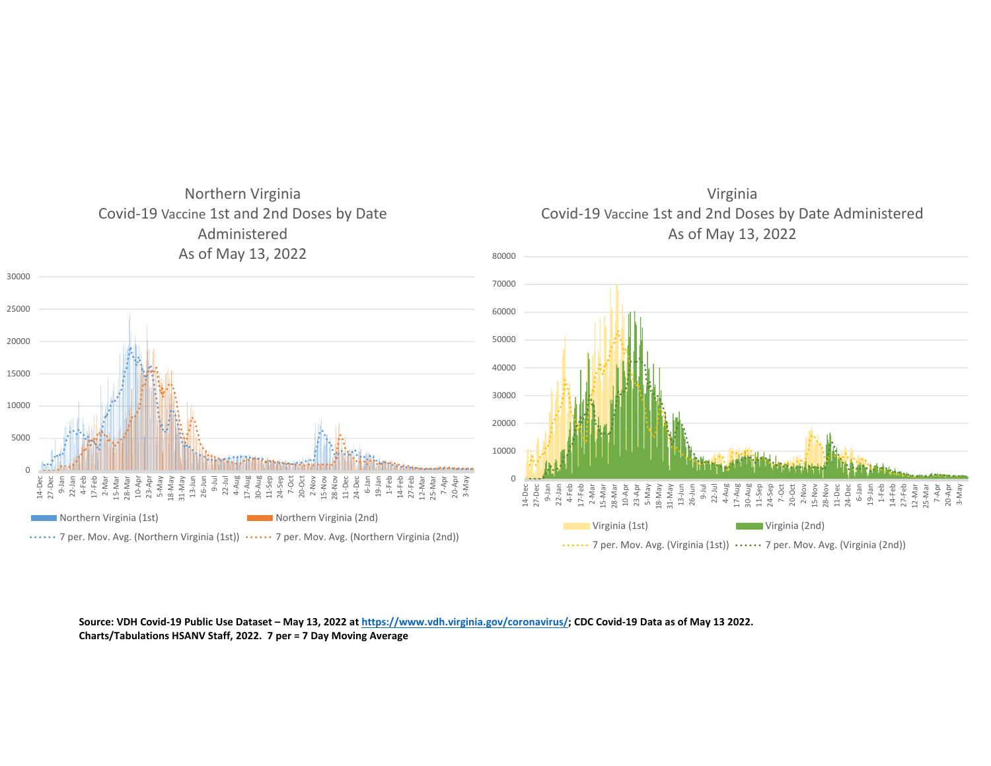

Source: VDH Covid-19 Public Use Dataset – May 13, 2022 at <u>https://www.vdh.virginia.gov/coronavirus/;</u> CDC Covid-19 Data as of May 13 2022.

**Charts/Tabulations HSANV Staff, 2022. 7 per <sup>=</sup> 7 Day Moving Average**